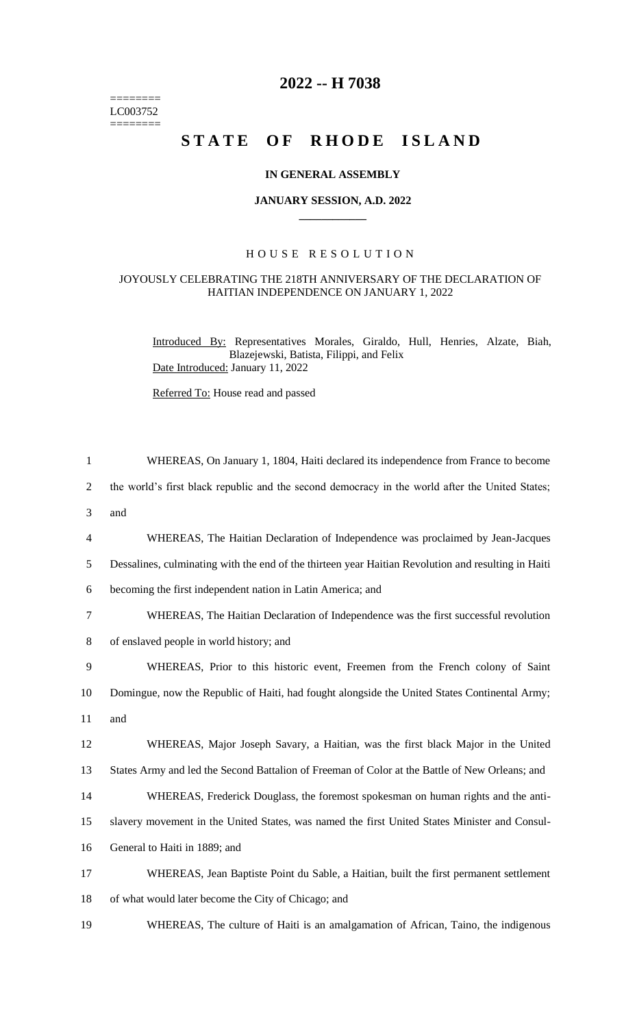======== LC003752  $=$ 

## **2022 -- H 7038**

# **STATE OF RHODE ISLAND**

### **IN GENERAL ASSEMBLY**

#### **JANUARY SESSION, A.D. 2022 \_\_\_\_\_\_\_\_\_\_\_\_**

### H O U S E R E S O L U T I O N

#### JOYOUSLY CELEBRATING THE 218TH ANNIVERSARY OF THE DECLARATION OF HAITIAN INDEPENDENCE ON JANUARY 1, 2022

Introduced By: Representatives Morales, Giraldo, Hull, Henries, Alzate, Biah, Blazejewski, Batista, Filippi, and Felix Date Introduced: January 11, 2022

Referred To: House read and passed

| $\mathbf{1}$   | WHEREAS, On January 1, 1804, Haiti declared its independence from France to become                  |
|----------------|-----------------------------------------------------------------------------------------------------|
| 2              | the world's first black republic and the second democracy in the world after the United States;     |
| 3              | and                                                                                                 |
| $\overline{4}$ | WHEREAS, The Haitian Declaration of Independence was proclaimed by Jean-Jacques                     |
| 5              | Dessalines, culminating with the end of the thirteen year Haitian Revolution and resulting in Haiti |
| 6              | becoming the first independent nation in Latin America; and                                         |
| 7              | WHEREAS, The Haitian Declaration of Independence was the first successful revolution                |
| 8              | of enslaved people in world history; and                                                            |
| 9              | WHEREAS, Prior to this historic event, Freemen from the French colony of Saint                      |
| 10             | Domingue, now the Republic of Haiti, had fought alongside the United States Continental Army;       |
|                |                                                                                                     |
| 11             | and                                                                                                 |
| 12             | WHEREAS, Major Joseph Savary, a Haitian, was the first black Major in the United                    |
| 13             | States Army and led the Second Battalion of Freeman of Color at the Battle of New Orleans; and      |
| 14             | WHEREAS, Frederick Douglass, the foremost spokesman on human rights and the anti-                   |
| 15             | slavery movement in the United States, was named the first United States Minister and Consul-       |
| 16             | General to Haiti in 1889; and                                                                       |
| 17             | WHEREAS, Jean Baptiste Point du Sable, a Haitian, built the first permanent settlement              |

19 WHEREAS, The culture of Haiti is an amalgamation of African, Taino, the indigenous